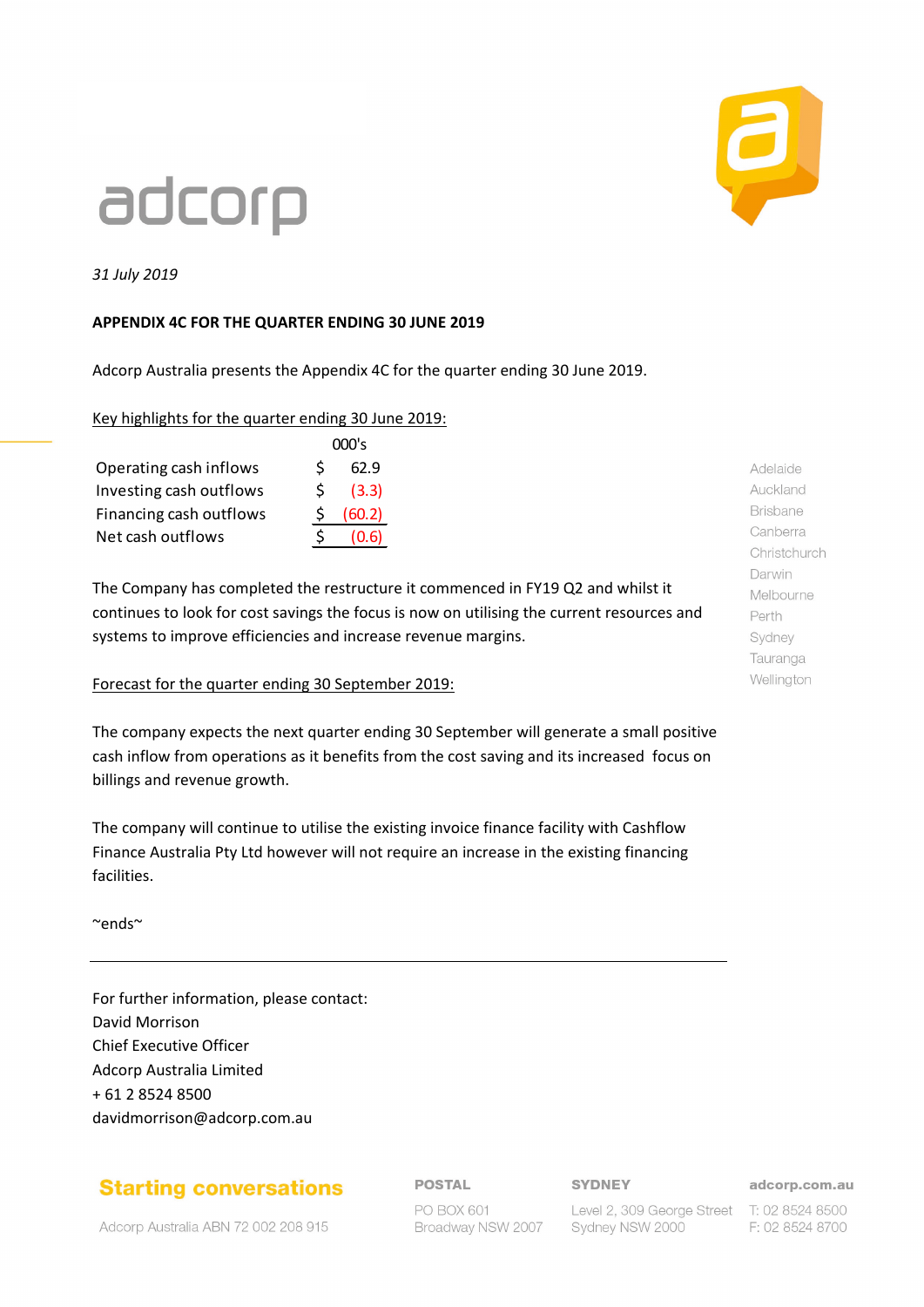

# adcorp

*31 July 2019*

### **APPENDIX 4C FOR THE QUARTER ENDING 30 JUNE 2019**

Adcorp Australia presents the Appendix 4C for the quarter ending 30 June 2019.

### Key highlights for the quarter ending 30 June 2019:

|                         |    | 000's  |
|-------------------------|----|--------|
| Operating cash inflows  | \$ | 62.9   |
| Investing cash outflows | S  | (3.3)  |
| Financing cash outflows |    | (60.2) |
| Net cash outflows       | Ŝ. | (0.6)  |

The Company has completed the restructure it commenced in FY19 Q2 and whilst it continues to look for cost savings the focus is now on utilising the current resources and systems to improve efficiencies and increase revenue margins.

### Forecast for the quarter ending 30 September 2019:

The company expects the next quarter ending 30 September will generate a small positive cash inflow from operations as it benefits from the cost saving and its increased focus on billings and revenue growth.

The company will continue to utilise the existing invoice finance facility with Cashflow Finance Australia Pty Ltd however will not require an increase in the existing financing facilities.

~ends~

For further information, please contact: David Morrison Chief Executive Officer Adcorp Australia Limited + 61 2 8524 8500 davidmorrison@adcorp.com.au

### **Starting conversations**

Adcorp Australia ABN 72 002 208 915

### **POSTAL**

PO BOX 601 Broadway NSW 2007 **SYDNEY** 

Level 2, 309 George Street T: 02 8524 8500

F: 02 8524 8700

adcorp.com.au

Adelaide Auckland **Brisbane** Canberra Christchurch Darwin Melbourne Perth Sydney Tauranga Wellington

Sydney NSW 2000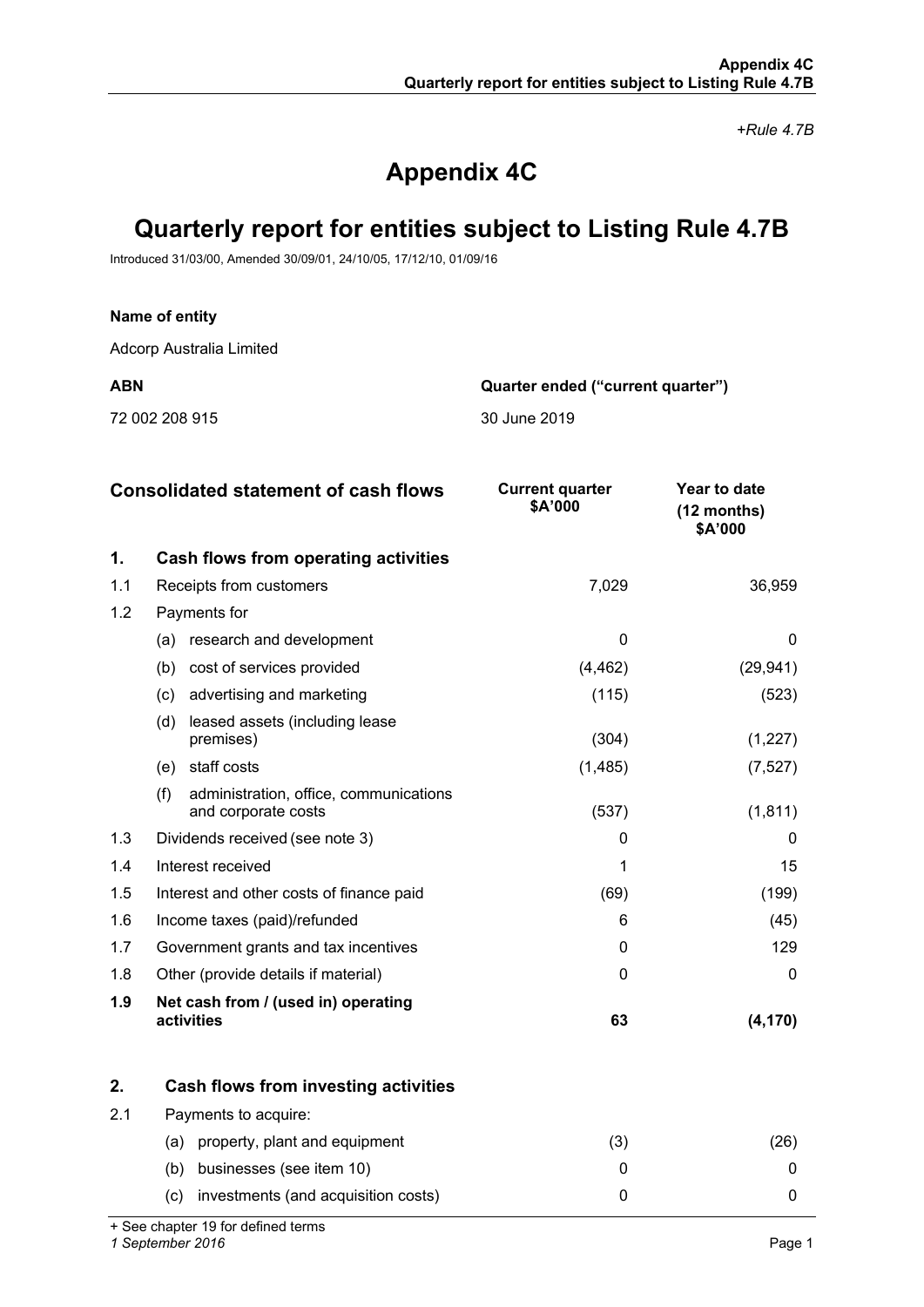*+Rule 4.7B*

## **Appendix 4C**

### **Quarterly report for entities subject to Listing Rule 4.7B**

Introduced 31/03/00, Amended 30/09/01, 24/10/05, 17/12/10, 01/09/16

### **Name of entity**

Adcorp Australia Limited

72 002 208 915 30 June 2019

**ABN Quarter ended ("current quarter")**

|     | <b>Consolidated statement of cash flows</b>                          | <b>Current quarter</b><br>\$A'000 | Year to date<br>$(12$ months)<br>\$A'000 |
|-----|----------------------------------------------------------------------|-----------------------------------|------------------------------------------|
| 1.  | Cash flows from operating activities                                 |                                   |                                          |
| 1.1 | Receipts from customers                                              | 7,029                             | 36,959                                   |
| 1.2 | Payments for                                                         |                                   |                                          |
|     | research and development<br>(a)                                      | $\Omega$                          | 0                                        |
|     | (b)<br>cost of services provided                                     | (4, 462)                          | (29, 941)                                |
|     | advertising and marketing<br>(c)                                     | (115)                             | (523)                                    |
|     | leased assets (including lease<br>(d)<br>premises)                   | (304)                             | (1,227)                                  |
|     | staff costs<br>(e)                                                   | (1, 485)                          | (7, 527)                                 |
|     | (f)<br>administration, office, communications<br>and corporate costs | (537)                             | (1, 811)                                 |
| 1.3 | Dividends received (see note 3)                                      | O                                 | $\Omega$                                 |
| 1.4 | Interest received                                                    |                                   | 15                                       |
| 1.5 | Interest and other costs of finance paid                             | (69)                              | (199)                                    |
| 1.6 | Income taxes (paid)/refunded                                         | 6                                 | (45)                                     |
| 1.7 | Government grants and tax incentives                                 | $\Omega$                          | 129                                      |
| 1.8 | Other (provide details if material)                                  | 0                                 | 0                                        |
| 1.9 | Net cash from / (used in) operating<br>activities                    | 63                                | (4, 170)                                 |

|     | Cash flows from investing activities       |    |  |
|-----|--------------------------------------------|----|--|
| 2.1 | Payments to acquire:                       |    |  |
|     | property, plant and equipment<br>(a)       | ί3 |  |
|     | businesses (see item 10)<br>(b)            |    |  |
|     | investments (and acquisition costs)<br>(C) |    |  |

+ See chapter 19 for defined terms

*1 September 2016* Page 1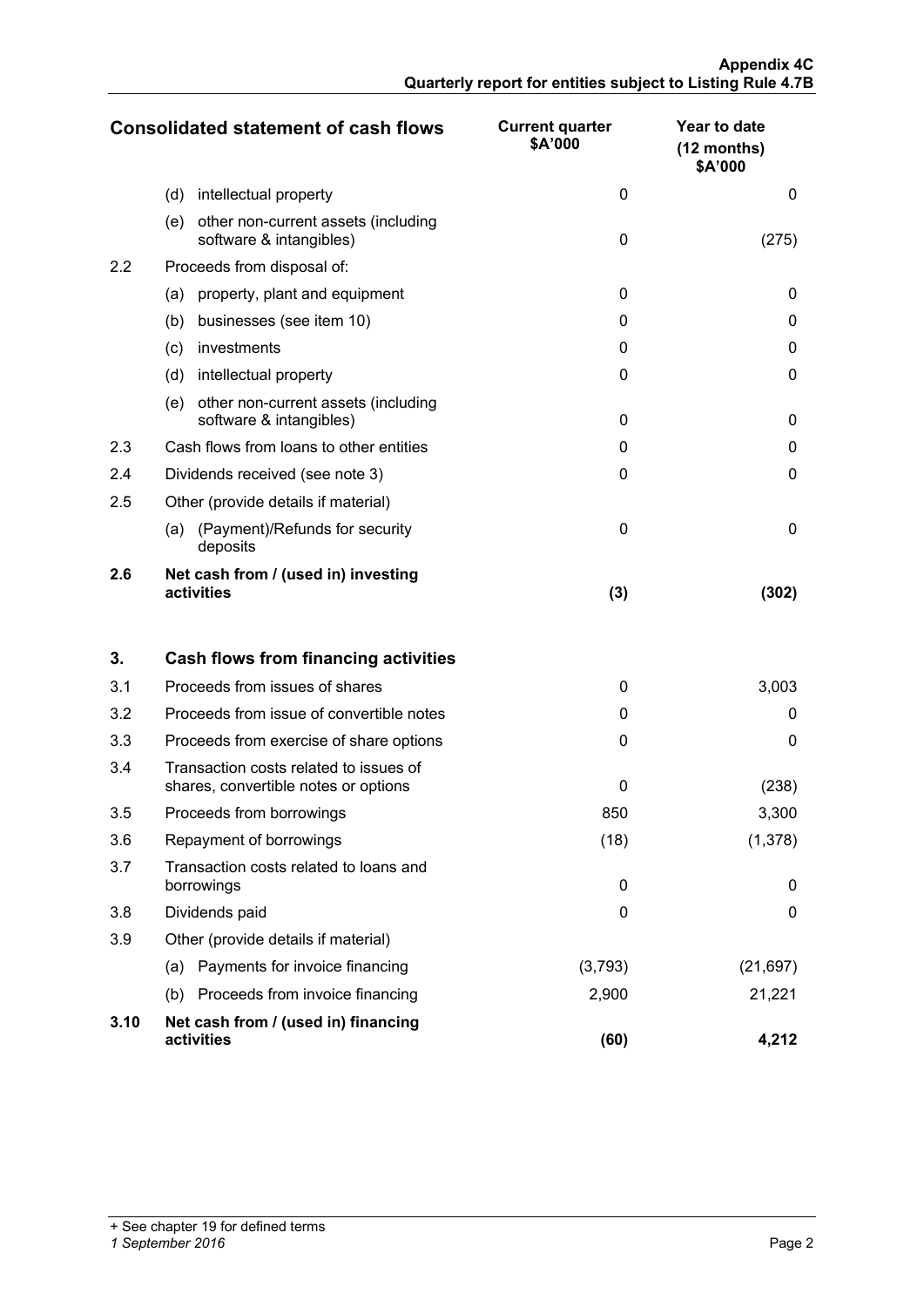|     | <b>Consolidated statement of cash flows</b>                           | <b>Current quarter</b><br>\$A'000 | Year to date<br>$(12$ months)<br>\$A'000 |
|-----|-----------------------------------------------------------------------|-----------------------------------|------------------------------------------|
|     | (d)<br>intellectual property                                          | 0                                 | 0                                        |
|     | (e)<br>other non-current assets (including<br>software & intangibles) | $\Omega$                          | (275)                                    |
| 2.2 | Proceeds from disposal of:                                            |                                   |                                          |
|     | property, plant and equipment<br>(a)                                  | $\Omega$                          | 0                                        |
|     | businesses (see item 10)<br>(b)                                       | 0                                 | 0                                        |
|     | investments<br>(c)                                                    | 0                                 | 0                                        |
|     | (d)<br>intellectual property                                          | $\Omega$                          | 0                                        |
|     | other non-current assets (including<br>(e)<br>software & intangibles) | $\Omega$                          | 0                                        |
| 2.3 | Cash flows from loans to other entities                               | O                                 | O                                        |
| 2.4 | Dividends received (see note 3)                                       | 0                                 | 0                                        |
| 2.5 | Other (provide details if material)                                   |                                   |                                          |
|     | (Payment)/Refunds for security<br>(a)<br>deposits                     | $\Omega$                          | 0                                        |
| 2.6 | Net cash from / (used in) investing<br>activities                     | (3)                               | (302)                                    |

| 3.   | <b>Cash flows from financing activities</b>                                    |         |           |
|------|--------------------------------------------------------------------------------|---------|-----------|
| 3.1  | Proceeds from issues of shares                                                 | 0       | 3,003     |
| 3.2  | Proceeds from issue of convertible notes                                       | 0       | 0         |
| 3.3  | Proceeds from exercise of share options                                        | 0       | 0         |
| 3.4  | Transaction costs related to issues of<br>shares, convertible notes or options | 0       | (238)     |
| 3.5  | Proceeds from borrowings                                                       | 850     | 3,300     |
| 3.6  | Repayment of borrowings                                                        | (18)    | (1,378)   |
| 3.7  | Transaction costs related to loans and<br>borrowings                           | 0       | 0         |
| 3.8  | Dividends paid                                                                 | 0       | 0         |
| 3.9  | Other (provide details if material)                                            |         |           |
|      | Payments for invoice financing<br>(a)                                          | (3,793) | (21, 697) |
|      | Proceeds from invoice financing<br>(b)                                         | 2,900   | 21,221    |
| 3.10 | Net cash from / (used in) financing<br>activities                              | (60)    | 4.212     |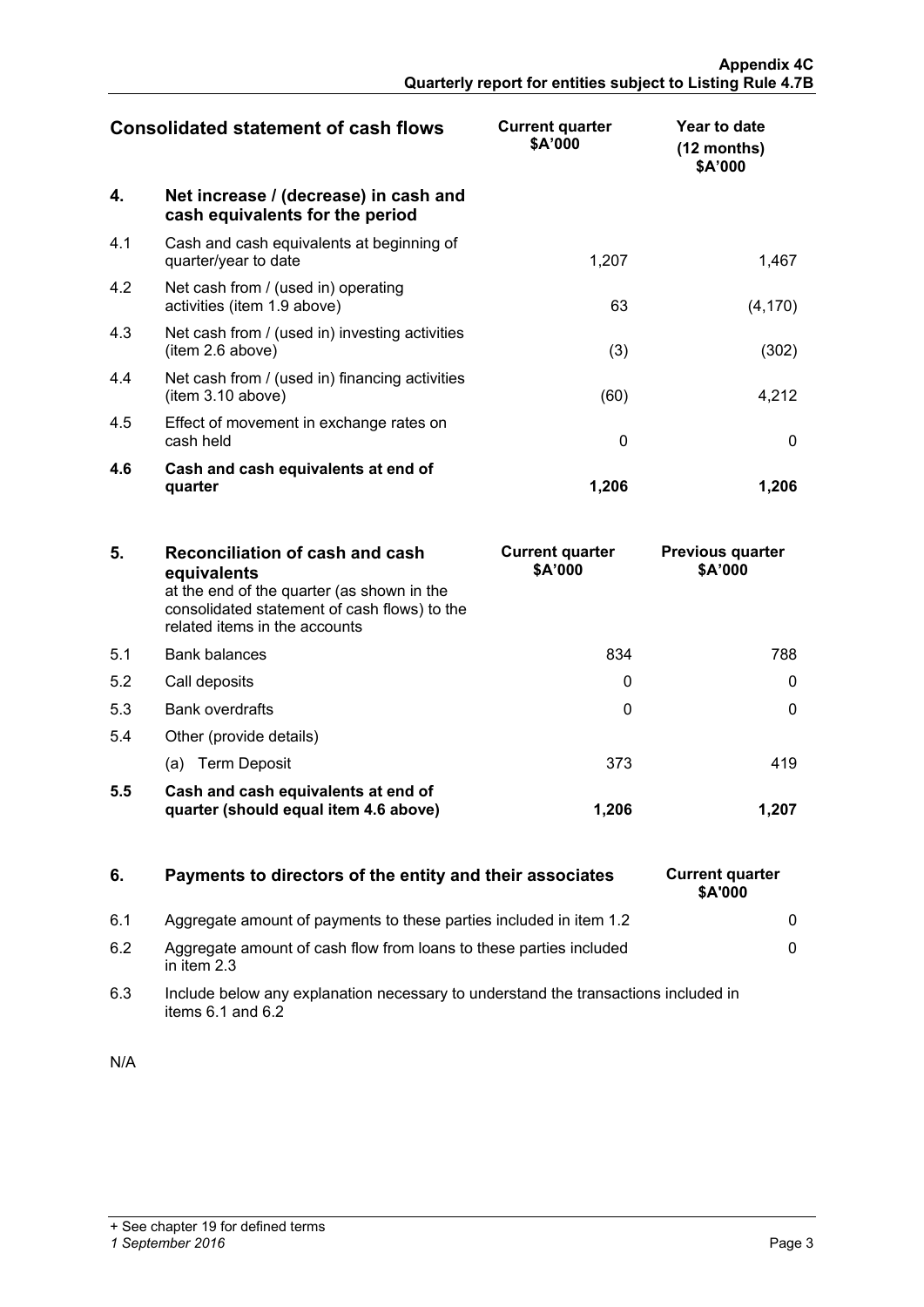|     | <b>Consolidated statement of cash flows</b>                              | <b>Current quarter</b><br>\$A'000 | Year to date<br>$(12 \text{ months})$<br>\$A'000 |
|-----|--------------------------------------------------------------------------|-----------------------------------|--------------------------------------------------|
| 4.  | Net increase / (decrease) in cash and<br>cash equivalents for the period |                                   |                                                  |
| 4.1 | Cash and cash equivalents at beginning of<br>quarter/year to date        | 1,207                             | 1,467                                            |
| 4.2 | Net cash from / (used in) operating<br>activities (item 1.9 above)       | 63                                | (4, 170)                                         |
| 4.3 | Net cash from / (used in) investing activities<br>(item 2.6 above)       | (3)                               | (302)                                            |
| 4.4 | Net cash from / (used in) financing activities<br>(item 3.10 above)      | (60)                              | 4,212                                            |
| 4.5 | Effect of movement in exchange rates on<br>cash held                     | 0                                 |                                                  |
| 4.6 | Cash and cash equivalents at end of<br>quarter                           | 1,206                             | 1.206                                            |

| 5.  | Reconciliation of cash and cash<br>equivalents<br>at the end of the quarter (as shown in the<br>consolidated statement of cash flows) to the<br>related items in the accounts | <b>Current quarter</b><br>\$A'000 | <b>Previous quarter</b><br>\$A'000 |
|-----|-------------------------------------------------------------------------------------------------------------------------------------------------------------------------------|-----------------------------------|------------------------------------|
| 5.1 | <b>Bank balances</b>                                                                                                                                                          | 834                               | 788.                               |
| 5.2 | Call deposits                                                                                                                                                                 |                                   |                                    |
| 5.3 | Bank overdrafts                                                                                                                                                               |                                   |                                    |
| 5.4 | Other (provide details)                                                                                                                                                       |                                   |                                    |
|     | (a) Term Deposit                                                                                                                                                              | 373                               |                                    |
| 5.5 | Cash and cash equivalents at end of<br>quarter (should equal item 4.6 above)                                                                                                  | 1.206                             |                                    |

### **6.** Payments to directors of the entity and their associates

- 6.1 Aggregate amount of payments to these parties included in item 1.2 0
- 6.2 Aggregate amount of cash flow from loans to these parties included in item 2.3
- 6.3 Include below any explanation necessary to understand the transactions included in items 6.1 and 6.2

| N/A |  |  |  |  |
|-----|--|--|--|--|
|     |  |  |  |  |

| <b>Current quarter</b><br>\$A'000 |   |
|-----------------------------------|---|
|                                   | 0 |
|                                   | 0 |
|                                   |   |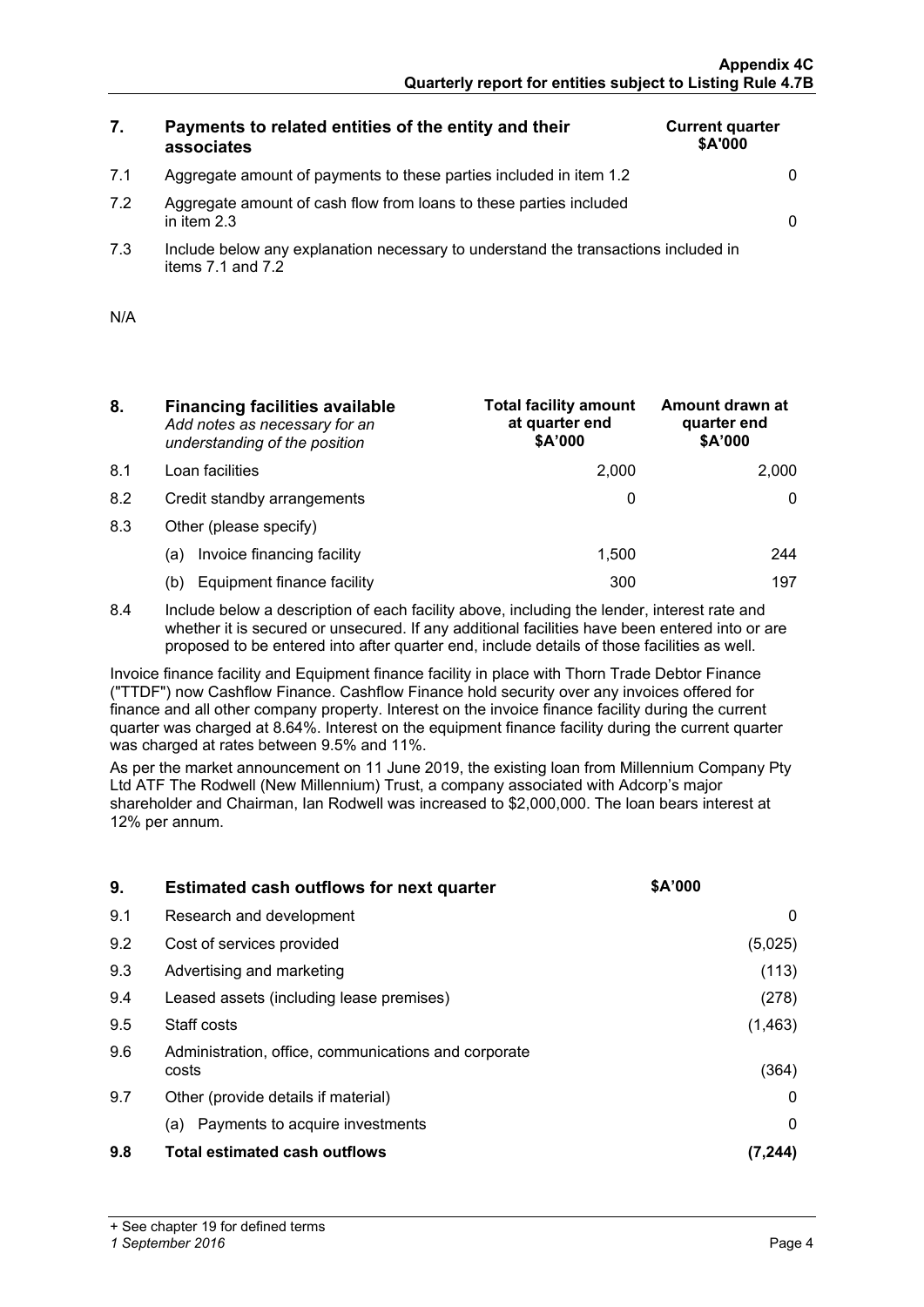**Current quarter \$A'000**

**Amount drawn at** 

### **7. Payments to related entities of the entity and their associates**

| 7.1 | Aggregate amount of payments to these parties included in item 1.2 |  |
|-----|--------------------------------------------------------------------|--|
|     |                                                                    |  |
|     |                                                                    |  |
|     |                                                                    |  |

- 7.2 Aggregate amount of cash flow from loans to these parties included in item 2.3 0
- 7.3 Include below any explanation necessary to understand the transactions included in items  $7.1$  and  $7.2$

| N/A |  |
|-----|--|
|     |  |

- **8. Financing facilities available** *Add notes as necessary for an understanding of the position*
- 
- 
- 8.3 Other (please specify)
	-
	-
- **at quarter end \$A'000 quarter end \$A'000** 8.1 Loan facilities 2,000 2,000 8.2 Credit standby arrangements and the control of the control of the control of the control of the control of the control of the control of the control of the control of the control of the control of the control of the co (a) Invoice financing facility  $\vert$  1,500  $\vert$  244 (b) Equipment finance facility 197

**Total facility amount** 

8.4 Include below a description of each facility above, including the lender, interest rate and whether it is secured or unsecured. If any additional facilities have been entered into or are proposed to be entered into after quarter end, include details of those facilities as well.

Invoice finance facility and Equipment finance facility in place with Thorn Trade Debtor Finance ("TTDF") now Cashflow Finance. Cashflow Finance hold security over any invoices offered for finance and all other company property. Interest on the invoice finance facility during the current quarter was charged at 8.64%. Interest on the equipment finance facility during the current quarter was charged at rates between 9.5% and 11%.

As per the market announcement on 11 June 2019, the existing loan from Millennium Company Pty Ltd ATF The Rodwell (New Millennium) Trust, a company associated with Adcorp's major shareholder and Chairman, Ian Rodwell was increased to \$2,000,000. The loan bears interest at 12% per annum.

| 9.  | <b>Estimated cash outflows for next quarter</b>               | <b>SA'000</b> |
|-----|---------------------------------------------------------------|---------------|
| 9.1 | Research and development                                      |               |
| 9.2 | Cost of services provided                                     | (5,025)       |
| 9.3 | Advertising and marketing                                     | (113)         |
| 9.4 | Leased assets (including lease premises)                      | (278)         |
| 9.5 | Staff costs                                                   | (1, 463)      |
| 9.6 | Administration, office, communications and corporate<br>costs | (364)         |
| 9.7 | Other (provide details if material)                           |               |
|     | Payments to acquire investments<br>(a)                        |               |
| 9.8 | <b>Total estimated cash outflows</b>                          |               |